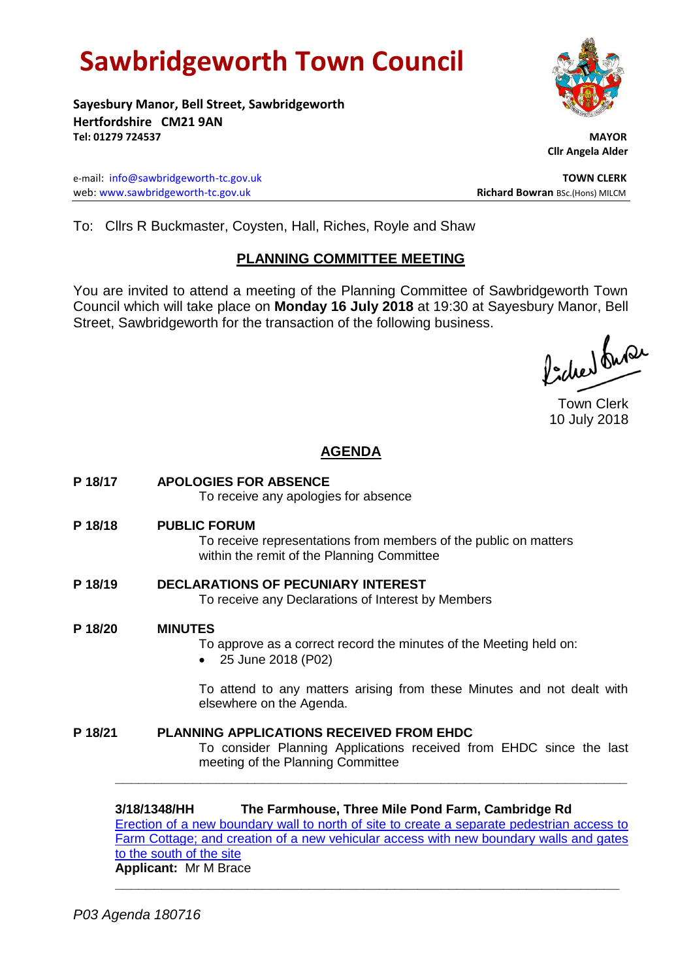# **Sawbridgeworth Town Council**

**Sayesbury Manor, Bell Street, Sawbridgeworth Hertfordshire CM21 9AN Tel: 01279 724537 MAYOR**

e-mail: [info@sawbridgeworth-tc.gov.uk](mailto:info@sawbridgeworth-tc.gov.uk) **TOWN CLERK** web: www.sawbridgeworth-tc.gov.uk **Richard Bowran** BSc.(Hons) MILCM

 **Cllr Angela Alder**

To: Cllrs R Buckmaster, Coysten, Hall, Riches, Royle and Shaw

# **PLANNING COMMITTEE MEETING**

You are invited to attend a meeting of the Planning Committee of Sawbridgeworth Town Council which will take place on **Monday 16 July 2018** at 19:30 at Sayesbury Manor, Bell Street, Sawbridgeworth for the transaction of the following business.

fideed fune

Town Clerk 10 July 2018

# **AGENDA**

- **P 18/17 APOLOGIES FOR ABSENCE** To receive any apologies for absence **P 18/18 PUBLIC FORUM** To receive representations from members of the public on matters within the remit of the Planning Committee **P 18/19 DECLARATIONS OF PECUNIARY INTEREST** To receive any Declarations of Interest by Members
- **P 18/20 MINUTES**
	- To approve as a correct record the minutes of the Meeting held on:
	- 25 June 2018 (P02)

To attend to any matters arising from these Minutes and not dealt with elsewhere on the Agenda.

**P 18/21 PLANNING APPLICATIONS RECEIVED FROM EHDC** To consider Planning Applications received from EHDC since the last meeting of the Planning Committee

**3/18/1348/HH The Farmhouse, Three Mile Pond Farm, Cambridge Rd** [Erection of a new boundary wall to north of site to create a separate pedestrian access to](https://publicaccess.eastherts.gov.uk/online-applications/applicationDetails.do?activeTab=documents&keyVal=PA7QAXGLMCD00)  [Farm Cottage; and creation of a new vehicular access with new boundary walls and gates](https://publicaccess.eastherts.gov.uk/online-applications/applicationDetails.do?activeTab=documents&keyVal=PA7QAXGLMCD00)  [to the south of the site](https://publicaccess.eastherts.gov.uk/online-applications/applicationDetails.do?activeTab=documents&keyVal=PA7QAXGLMCD00) **Applicant:** Mr M Brace

**\_\_\_\_\_\_\_\_\_\_\_\_\_\_\_\_\_\_\_\_\_\_\_\_\_\_\_\_\_\_\_\_\_\_\_\_\_\_\_\_\_\_\_\_\_\_\_\_\_\_\_\_\_\_\_\_\_\_\_\_\_\_\_\_\_**

**\_\_\_\_\_\_\_\_\_\_\_\_\_\_\_\_\_\_\_\_\_\_\_\_\_\_\_\_\_\_\_\_\_\_\_\_\_\_\_\_\_\_\_\_\_\_\_\_\_\_\_\_\_\_\_\_\_\_\_\_\_\_\_\_\_\_**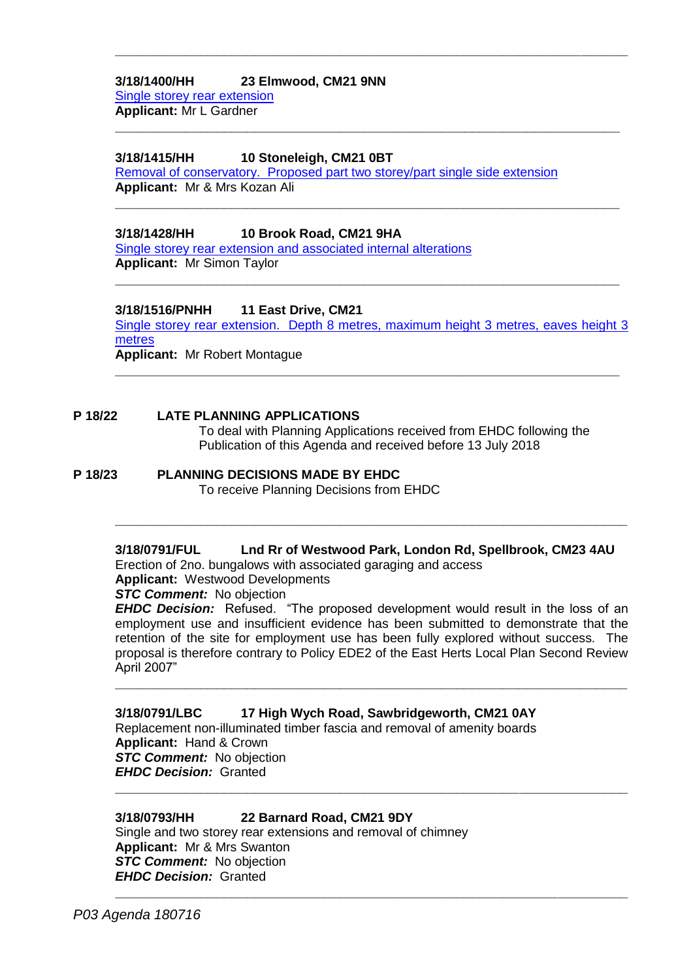#### **3/18/1400/HH 23 Elmwood, CM21 9NN** [Single storey rear extension](https://publicaccess.eastherts.gov.uk/online-applications/applicationDetails.do?activeTab=documents&keyVal=PAIMM8GLMFG00) **Applicant:** Mr L Gardner

#### **3/18/1415/HH 10 Stoneleigh, CM21 0BT**

[Removal of conservatory. Proposed part two storey/part single side extension](https://publicaccess.eastherts.gov.uk/online-applications/applicationDetails.do?activeTab=documents&keyVal=PAKSFEGLMGG00) **Applicant:** Mr & Mrs Kozan Ali

**\_\_\_\_\_\_\_\_\_\_\_\_\_\_\_\_\_\_\_\_\_\_\_\_\_\_\_\_\_\_\_\_\_\_\_\_\_\_\_\_\_\_\_\_\_\_\_\_\_\_\_\_\_\_\_\_\_\_\_\_\_\_\_\_\_\_**

**\_\_\_\_\_\_\_\_\_\_\_\_\_\_\_\_\_\_\_\_\_\_\_\_\_\_\_\_\_\_\_\_\_\_\_\_\_\_\_\_\_\_\_\_\_\_\_\_\_\_\_\_\_\_\_\_\_\_\_\_\_\_\_\_\_**

**\_\_\_\_\_\_\_\_\_\_\_\_\_\_\_\_\_\_\_\_\_\_\_\_\_\_\_\_\_\_\_\_\_\_\_\_\_\_\_\_\_\_\_\_\_\_\_\_\_\_\_\_\_\_\_\_\_\_\_\_\_\_\_\_\_**

**\_\_\_\_\_\_\_\_\_\_\_\_\_\_\_\_\_\_\_\_\_\_\_\_\_\_\_\_\_\_\_\_\_\_\_\_\_\_\_\_\_\_\_\_\_\_\_\_\_\_\_\_\_\_\_\_\_\_\_\_\_\_\_\_\_**

## **3/18/1428/HH 10 Brook Road, CM21 9HA**

[Single storey rear extension and associated internal alterations](https://publicaccess.eastherts.gov.uk/online-applications/applicationDetails.do?activeTab=documents&keyVal=PAMN2HGLMH400) **Applicant:** Mr Simon Taylor

#### **3/18/1516/PNHH 11 East Drive, CM21**

[Single storey rear extension. Depth 8 metres, maximum height 3 metres, eaves height 3](https://publicaccess.eastherts.gov.uk/online-applications/applicationDetails.do?activeTab=documents&keyVal=PB8G11GL04O00)  [metres](https://publicaccess.eastherts.gov.uk/online-applications/applicationDetails.do?activeTab=documents&keyVal=PB8G11GL04O00) **Applicant:** Mr Robert Montague

**\_\_\_\_\_\_\_\_\_\_\_\_\_\_\_\_\_\_\_\_\_\_\_\_\_\_\_\_\_\_\_\_\_\_\_\_\_\_\_\_\_\_\_\_\_\_\_\_\_\_\_\_\_\_\_\_\_\_\_\_\_\_\_\_\_**

## **P 18/22 LATE PLANNING APPLICATIONS**

To deal with Planning Applications received from EHDC following the Publication of this Agenda and received before 13 July 2018

#### **P 18/23 PLANNING DECISIONS MADE BY EHDC**

To receive Planning Decisions from EHDC

#### **3/18/0791/FUL Lnd Rr of Westwood Park, London Rd, Spellbrook, CM23 4AU**

**\_\_\_\_\_\_\_\_\_\_\_\_\_\_\_\_\_\_\_\_\_\_\_\_\_\_\_\_\_\_\_\_\_\_\_\_\_\_\_\_\_\_\_\_\_\_\_\_\_\_\_\_\_\_\_\_\_\_\_\_\_\_\_\_\_\_**

Erection of 2no. bungalows with associated garaging and access

**Applicant:** Westwood Developments

*STC Comment:* No objection

*EHDC Decision:* Refused. "The proposed development would result in the loss of an employment use and insufficient evidence has been submitted to demonstrate that the retention of the site for employment use has been fully explored without success. The proposal is therefore contrary to Policy EDE2 of the East Herts Local Plan Second Review April 2007"

**\_\_\_\_\_\_\_\_\_\_\_\_\_\_\_\_\_\_\_\_\_\_\_\_\_\_\_\_\_\_\_\_\_\_\_\_\_\_\_\_\_\_\_\_\_\_\_\_\_\_\_\_\_\_\_\_\_\_\_\_\_\_\_\_\_\_**

**\_\_\_\_\_\_\_\_\_\_\_\_\_\_\_\_\_\_\_\_\_\_\_\_\_\_\_\_\_\_\_\_\_\_\_\_\_\_\_\_\_\_\_\_\_\_\_\_\_\_\_\_\_\_\_\_\_\_\_\_\_\_\_\_\_\_**

**\_\_\_\_\_\_\_\_\_\_\_\_\_\_\_\_\_\_\_\_\_\_\_\_\_\_\_\_\_\_\_\_\_\_\_\_\_\_\_\_\_\_\_\_\_\_\_\_\_\_\_\_\_\_\_\_\_\_\_\_\_\_\_\_\_\_**

#### **3/18/0791/LBC 17 High Wych Road, Sawbridgeworth, CM21 0AY**

Replacement non-illuminated timber fascia and removal of amenity boards **Applicant:** Hand & Crown **STC Comment:** No objection *EHDC Decision:* Granted

#### **3/18/0793/HH 22 Barnard Road, CM21 9DY**

Single and two storey rear extensions and removal of chimney **Applicant:** Mr & Mrs Swanton **STC Comment:** No objection *EHDC Decision:* Granted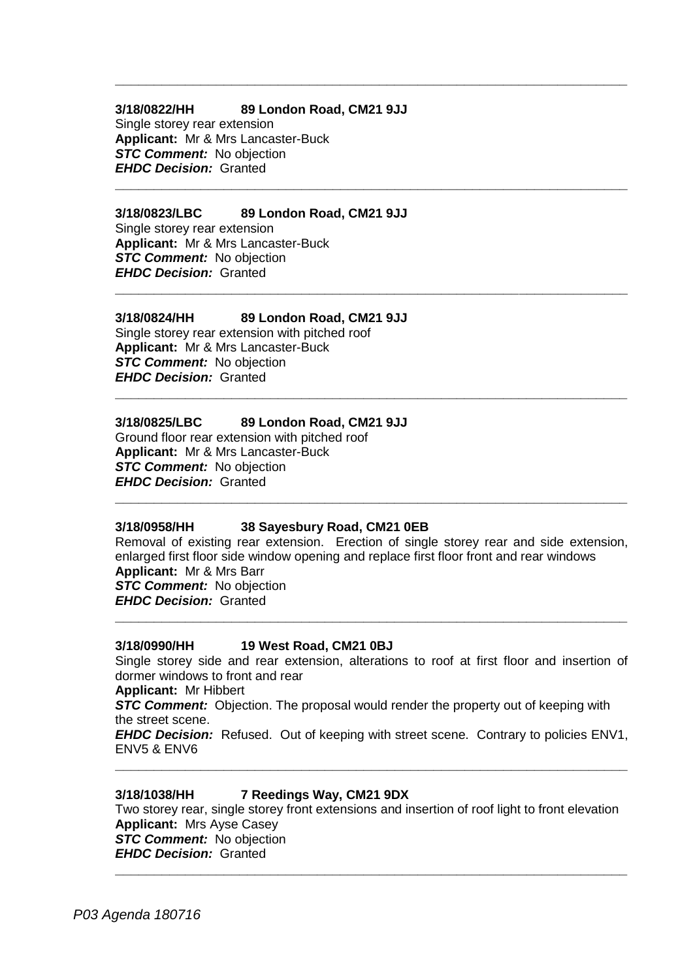#### **3/18/0822/HH 89 London Road, CM21 9JJ**

Single storey rear extension **Applicant:** Mr & Mrs Lancaster-Buck *STC Comment:* No objection *EHDC Decision:* Granted

#### **3/18/0823/LBC 89 London Road, CM21 9JJ**

Single storey rear extension **Applicant:** Mr & Mrs Lancaster-Buck *STC Comment:* No objection *EHDC Decision:* Granted

#### **3/18/0824/HH 89 London Road, CM21 9JJ**

Single storey rear extension with pitched roof **Applicant:** Mr & Mrs Lancaster-Buck **STC Comment:** No objection *EHDC Decision:* Granted

#### **3/18/0825/LBC 89 London Road, CM21 9JJ**

Ground floor rear extension with pitched roof **Applicant:** Mr & Mrs Lancaster-Buck *STC Comment:* No objection *EHDC Decision:* Granted

#### **3/18/0958/HH 38 Sayesbury Road, CM21 0EB**

Removal of existing rear extension. Erection of single storey rear and side extension, enlarged first floor side window opening and replace first floor front and rear windows **Applicant:** Mr & Mrs Barr *STC Comment:* No objection *EHDC Decision:* Granted **\_\_\_\_\_\_\_\_\_\_\_\_\_\_\_\_\_\_\_\_\_\_\_\_\_\_\_\_\_\_\_\_\_\_\_\_\_\_\_\_\_\_\_\_\_\_\_\_\_\_\_\_\_\_\_\_\_\_\_\_\_\_\_\_\_\_**

**\_\_\_\_\_\_\_\_\_\_\_\_\_\_\_\_\_\_\_\_\_\_\_\_\_\_\_\_\_\_\_\_\_\_\_\_\_\_\_\_\_\_\_\_\_\_\_\_\_\_\_\_\_\_\_\_\_\_\_\_\_\_\_\_\_\_**

**\_\_\_\_\_\_\_\_\_\_\_\_\_\_\_\_\_\_\_\_\_\_\_\_\_\_\_\_\_\_\_\_\_\_\_\_\_\_\_\_\_\_\_\_\_\_\_\_\_\_\_\_\_\_\_\_\_\_\_\_\_\_\_\_\_\_**

**\_\_\_\_\_\_\_\_\_\_\_\_\_\_\_\_\_\_\_\_\_\_\_\_\_\_\_\_\_\_\_\_\_\_\_\_\_\_\_\_\_\_\_\_\_\_\_\_\_\_\_\_\_\_\_\_\_\_\_\_\_\_\_\_\_\_**

**\_\_\_\_\_\_\_\_\_\_\_\_\_\_\_\_\_\_\_\_\_\_\_\_\_\_\_\_\_\_\_\_\_\_\_\_\_\_\_\_\_\_\_\_\_\_\_\_\_\_\_\_\_\_\_\_\_\_\_\_\_\_\_\_\_\_**

**\_\_\_\_\_\_\_\_\_\_\_\_\_\_\_\_\_\_\_\_\_\_\_\_\_\_\_\_\_\_\_\_\_\_\_\_\_\_\_\_\_\_\_\_\_\_\_\_\_\_\_\_\_\_\_\_\_\_\_\_\_\_\_\_\_\_**

#### **3/18/0990/HH 19 West Road, CM21 0BJ**

Single storey side and rear extension, alterations to roof at first floor and insertion of dormer windows to front and rear

**Applicant:** Mr Hibbert

*STC Comment:* Objection. The proposal would render the property out of keeping with the street scene.

*EHDC Decision:* Refused. Out of keeping with street scene. Contrary to policies ENV1, ENV5 & ENV6 **\_\_\_\_\_\_\_\_\_\_\_\_\_\_\_\_\_\_\_\_\_\_\_\_\_\_\_\_\_\_\_\_\_\_\_\_\_\_\_\_\_\_\_\_\_\_\_\_\_\_\_\_\_\_\_\_\_\_\_\_\_\_\_\_\_\_**

#### **3/18/1038/HH 7 Reedings Way, CM21 9DX**

Two storey rear, single storey front extensions and insertion of roof light to front elevation **Applicant:** Mrs Ayse Casey **STC Comment:** No objection *EHDC Decision:* Granted **\_\_\_\_\_\_\_\_\_\_\_\_\_\_\_\_\_\_\_\_\_\_\_\_\_\_\_\_\_\_\_\_\_\_\_\_\_\_\_\_\_\_\_\_\_\_\_\_\_\_\_\_\_\_\_\_\_\_\_\_\_\_\_\_\_\_**